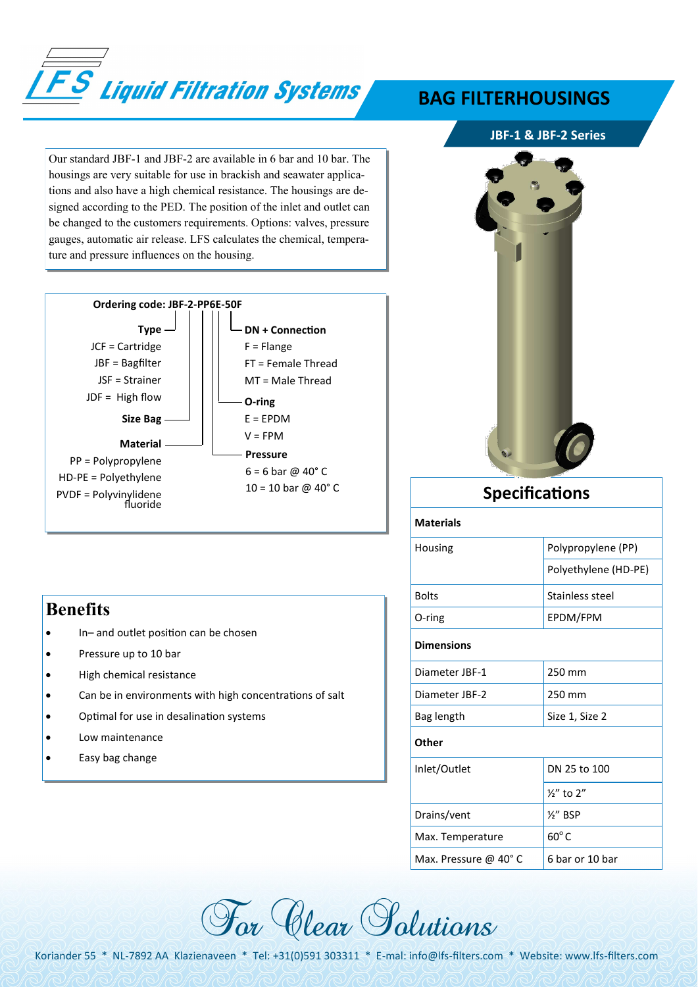

Our standard JBF-1 and JBF-2 are available in 6 bar and 10 bar. The housings are very suitable for use in brackish and seawater applications and also have a high chemical resistance. The housings are designed according to the PED. The position of the inlet and outlet can be changed to the customers requirements. Options: valves, pressure gauges, automatic air release. LFS calculates the chemical, temperature and pressure influences on the housing.



### **Benefits**

- In– and outlet position can be chosen
- Pressure up to 10 bar
- High chemical resistance
- Can be in environments with high concentrations of salt
- Optimal for use in desalination systems
- Low maintenance
- Easy bag change

## **BAG FILTERHOUSINGS**

#### **JBF-1 & JBF-2 Series**



| <b>Specifications</b> |                      |  |  |  |
|-----------------------|----------------------|--|--|--|
| <b>Materials</b>      |                      |  |  |  |
| Housing               | Polypropylene (PP)   |  |  |  |
|                       | Polyethylene (HD-PE) |  |  |  |
| <b>Bolts</b>          | Stainless steel      |  |  |  |
| O-ring                | EPDM/FPM             |  |  |  |
| <b>Dimensions</b>     |                      |  |  |  |
| Diameter JBF-1        | 250 mm               |  |  |  |
| Diameter JBF-2        | 250 mm               |  |  |  |
| Bag length            | Size 1, Size 2       |  |  |  |
| Other                 |                      |  |  |  |
| Inlet/Outlet          | DN 25 to 100         |  |  |  |
|                       | $\frac{1}{2}$ to 2"  |  |  |  |
| Drains/vent           | $\frac{1}{2}$ BSP    |  |  |  |
| Max. Temperature      | $60^{\circ}$ C       |  |  |  |
| Max. Pressure @ 40°C  | 6 bar or 10 bar      |  |  |  |